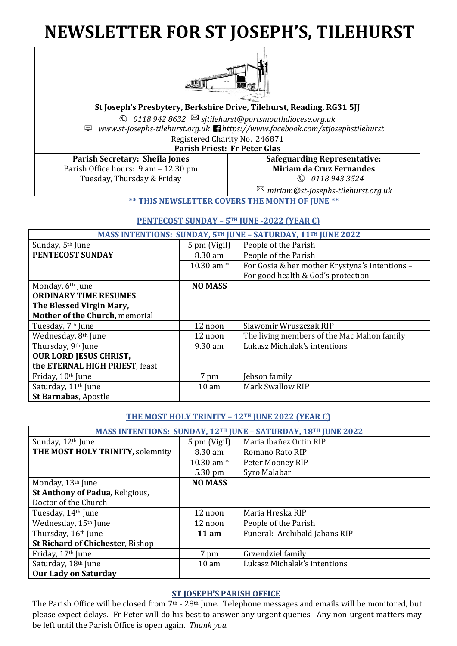# **NEWSLETTER FOR ST JOSEPH'S, TILEHURST**



**St Joseph's Presbytery, Berkshire Drive, Tilehurst, Reading, RG31 5JJ**

*0118 942 8632 sjtilehurst@portsmouthdiocese.org.uk*

*www.st-josephs-tilehurst.org.uk https://www.facebook.com/stjosephstilehurst* Registered Charity No. 246871

**Parish Priest: Fr Peter Glas**

**Parish Secretary: Sheila Jones** Parish Office hours: 9 am – 12.30 pm Tuesday, Thursday & Friday

# **Safeguarding Representative: Miriam da Cruz Fernandes** *0118 943 3524*

*miriam@st-josephs-tilehurst.org.uk*

**\*\* THIS NEWSLETTER COVERS THE MONTH OF JUNE \*\***

# **PENTECOST SUNDAY – 5TH JUNE -2022 (YEAR C)**

| <b>MASS INTENTIONS: SUNDAY, 5TH JUNE - SATURDAY, 11TH JUNE 2022</b> |                   |                                                |  |  |
|---------------------------------------------------------------------|-------------------|------------------------------------------------|--|--|
| Sunday, 5 <sup>th</sup> June                                        | 5 pm (Vigil)      | People of the Parish                           |  |  |
| PENTECOST SUNDAY                                                    | 8.30 am           | People of the Parish                           |  |  |
|                                                                     | 10.30 am $*$      | For Gosia & her mother Krystyna's intentions - |  |  |
|                                                                     |                   | For good health & God's protection             |  |  |
| Monday, 6 <sup>th</sup> June                                        | <b>NO MASS</b>    |                                                |  |  |
| <b>ORDINARY TIME RESUMES</b>                                        |                   |                                                |  |  |
| The Blessed Virgin Mary,                                            |                   |                                                |  |  |
| Mother of the Church, memorial                                      |                   |                                                |  |  |
| Tuesday, 7 <sup>th</sup> June                                       | 12 noon           | Slawomir Wruszczak RIP                         |  |  |
| Wednesday, 8th June                                                 | 12 noon           | The living members of the Mac Mahon family     |  |  |
| Thursday, 9th June                                                  | $9.30 \text{ am}$ | Lukasz Michalak's intentions                   |  |  |
| <b>OUR LORD JESUS CHRIST,</b>                                       |                   |                                                |  |  |
| the ETERNAL HIGH PRIEST, feast                                      |                   |                                                |  |  |
| Friday, 10th June                                                   | 7 pm              | Jebson family                                  |  |  |
| Saturday, 11 <sup>th</sup> June                                     | 10 <sub>am</sub>  | <b>Mark Swallow RIP</b>                        |  |  |
| St Barnabas, Apostle                                                |                   |                                                |  |  |

# **THE MOST HOLY TRINITY – 12TH JUNE 2022 (YEAR C)**

| MASS INTENTIONS: SUNDAY, 12 <sup>TH</sup> JUNE - SATURDAY, 18 <sup>TH</sup> JUNE 2022 |                 |                               |  |  |
|---------------------------------------------------------------------------------------|-----------------|-------------------------------|--|--|
| Sunday, 12th June                                                                     | 5 pm (Vigil)    | Maria Ibañez Ortin RIP        |  |  |
| THE MOST HOLY TRINITY, solemnity                                                      | 8.30 am         | Romano Rato RIP               |  |  |
|                                                                                       | 10.30 am $*$    | Peter Mooney RIP              |  |  |
|                                                                                       | 5.30 pm         | Syro Malabar                  |  |  |
| Monday, 13th June                                                                     | <b>NO MASS</b>  |                               |  |  |
| St Anthony of Padua, Religious,                                                       |                 |                               |  |  |
| Doctor of the Church                                                                  |                 |                               |  |  |
| Tuesday, 14th June                                                                    | 12 noon         | Maria Hreska RIP              |  |  |
| Wednesday, 15th June                                                                  | 12 noon         | People of the Parish          |  |  |
| Thursday, 16th June                                                                   | 11 am           | Funeral: Archibald Jahans RIP |  |  |
| <b>St Richard of Chichester, Bishop</b>                                               |                 |                               |  |  |
| Friday, 17th June                                                                     | 7 pm            | Grzendziel family             |  |  |
| Saturday, 18th June                                                                   | $10 \text{ am}$ | Lukasz Michalak's intentions  |  |  |
| <b>Our Lady on Saturday</b>                                                           |                 |                               |  |  |

# **ST JOSEPH'S PARISH OFFICE**

The Parish Office will be closed from 7th - 28th June. Telephone messages and emails will be monitored, but please expect delays. Fr Peter will do his best to answer any urgent queries. Any non-urgent matters may be left until the Parish Office is open again. *Thank you.*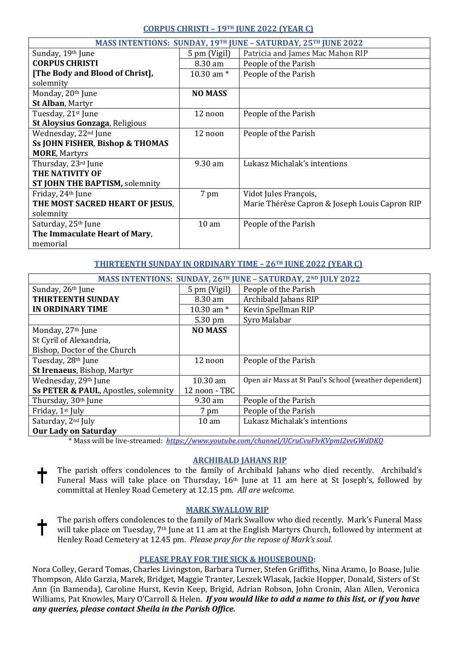# **CORPUS CHRISTI – 19TH JUNE 2022 (YEAR C)**

| MASS INTENTIONS: SUNDAY, 19TH JUNE - SATURDAY, 25TH JUNE 2022 |                  |                                                |  |  |
|---------------------------------------------------------------|------------------|------------------------------------------------|--|--|
| Sunday, 19th June                                             | 5 pm (Vigil)     | Patricia and James Mac Mahon RIP               |  |  |
| <b>CORPUS CHRISTI</b>                                         | 8.30 am          | People of the Parish                           |  |  |
| [The Body and Blood of Christ],                               | 10.30 am $*$     | People of the Parish                           |  |  |
| solemnity                                                     |                  |                                                |  |  |
| Monday, 20th June                                             | <b>NO MASS</b>   |                                                |  |  |
| St Alban, Martyr                                              |                  |                                                |  |  |
| Tuesday, 21st June                                            | 12 noon          | People of the Parish                           |  |  |
| St Aloysius Gonzaga, Religious                                |                  |                                                |  |  |
| Wednesday, 22 <sup>nd</sup> June                              | 12 noon          | People of the Parish                           |  |  |
| <b>Ss JOHN FISHER, Bishop &amp; THOMAS</b>                    |                  |                                                |  |  |
| <b>MORE, Martyrs</b>                                          |                  |                                                |  |  |
| Thursday, 23rd June                                           | 9.30 am          | Lukasz Michalak's intentions                   |  |  |
| THE NATIVITY OF                                               |                  |                                                |  |  |
| <b>ST JOHN THE BAPTISM, solemnity</b>                         |                  |                                                |  |  |
| Friday, 24 <sup>th</sup> June                                 | 7 pm             | Vidot Jules François,                          |  |  |
| THE MOST SACRED HEART OF JESUS,                               |                  | Marie Thérèse Capron & Joseph Louis Capron RIP |  |  |
| solemnity                                                     |                  |                                                |  |  |
| Saturday, 25 <sup>th</sup> June                               | 10 <sub>am</sub> | People of the Parish                           |  |  |
| The Immaculate Heart of Mary,                                 |                  |                                                |  |  |
| memorial                                                      |                  |                                                |  |  |

# **THIRTEENTH SUNDAY IN ORDINARY TIME – 26TH JUNE 2022 (YEAR C)**

| MASS INTENTIONS: SUNDAY, 26TH JUNE - SATURDAY, 2ND JULY 2022 |                   |                                                       |  |  |
|--------------------------------------------------------------|-------------------|-------------------------------------------------------|--|--|
| Sunday, 26th June                                            | 5 pm (Vigil)      | People of the Parish                                  |  |  |
| <b>THIRTEENTH SUNDAY</b>                                     | 8.30 am           | Archibald Jahans RIP                                  |  |  |
| <b>IN ORDINARY TIME</b>                                      | 10.30 am $*$      | Kevin Spellman RIP                                    |  |  |
|                                                              | $5.30 \text{ pm}$ | Syro Malabar                                          |  |  |
| Monday, 27th June                                            | <b>NO MASS</b>    |                                                       |  |  |
| St Cyril of Alexandria,                                      |                   |                                                       |  |  |
| Bishop, Doctor of the Church                                 |                   |                                                       |  |  |
| Tuesday, 28th June                                           | 12 noon           | People of the Parish                                  |  |  |
| St Irenaeus, Bishop, Martyr                                  |                   |                                                       |  |  |
| Wednesday, 29th June                                         | $10.30$ am        | Open air Mass at St Paul's School (weather dependent) |  |  |
| Ss PETER & PAUL, Apostles, solemnity                         | 12 noon - TBC     |                                                       |  |  |
| Thursday, 30 <sup>th</sup> June                              | 9.30 am           | People of the Parish                                  |  |  |
| Friday, 1 <sup>st</sup> July                                 | 7 pm              | People of the Parish                                  |  |  |
| Saturday, 2 <sup>nd</sup> July                               | 10 <sub>am</sub>  | Lukasz Michalak's intentions                          |  |  |
| <b>Our Lady on Saturday</b>                                  |                   |                                                       |  |  |

\* Mass will be live-streamed: *<https://www.youtube.com/channel/UCruCvuFlvKVpmI2vvGWdDKQ>*

# **ARCHIBALD JAHANS RIP**

The parish offers condolences to the family of Archibald Jahans who died recently. Archibald's Funeral Mass will take place on Thursday, 16th June at 11 am here at St Joseph's, followed by committal at Henley Road Cemetery at 12.15 pm. *All are welcome.*

# **MARK SWALLOW RIP**

The parish offers condolences to the family of Mark Swallow who died recently. Mark's Funeral Mass ╈ will take place on Tuesday, 7th June at 11 am at the English Martyrs Church, followed by interment at Henley Road Cemetery at 12.45 pm. *Please pray for the repose of Mark's soul.*

# **PLEASE PRAY FOR THE SICK & HOUSEBOUND:**

Nora Colley, Gerard Tomas, Charles Livingston, Barbara Turner, Stefen Griffiths, Nina Aramo, Jo Boase, Julie Thompson, Aldo Garzia, Marek, Bridget, Maggie Tranter, Leszek Wlasak, Jackie Hopper, Donald, Sisters of St Ann (in Bamenda), Caroline Hurst, Kevin Keep, Brigid, Adrian Robson, John Cronin, Alan Allen, Veronica Williams, Pat Knowles, Mary O'Carroll & Helen. *If you would like to add a name to this list, or if you have any queries, please contact Sheila in the Parish Office.*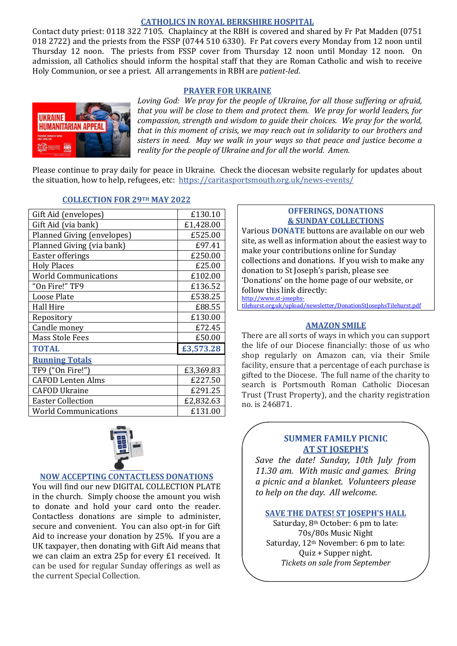# **CATHOLICS IN ROYAL BERKSHIRE HOSPITAL**

Contact duty priest: 0118 322 7105. Chaplaincy at the RBH is covered and shared by Fr Pat Madden (0751 018 2722) and the priests from the FSSP (0744 510 6330). Fr Pat covers every Monday from 12 noon until Thursday 12 noon. The priests from FSSP cover from Thursday 12 noon until Monday 12 noon. On admission, all Catholics should inform the hospital staff that they are Roman Catholic and wish to receive Holy Communion, or see a priest. All arrangements in RBH are *patient-led*.

# **PRAYER FOR UKRAINE**



*Loving God: We pray for the people of Ukraine, for all those suffering or afraid, that you will be close to them and protect them. We pray for world leaders, for compassion, strength and wisdom to guide their choices. We pray for the world, that in this moment of crisis, we may reach out in solidarity to our brothers and sisters in need. May we walk in your ways so that peace and justice become a reality for the people of Ukraine and for all the world. Amen.*

Please continue to pray daily for peace in Ukraine. Check the diocesan website regularly for updates about the situation, how to help, refugees, etc: <https://caritasportsmouth.org.uk/news-events/>

| Gift Aid (envelopes)        | £130.10   |
|-----------------------------|-----------|
| Gift Aid (via bank)         | £1,428.00 |
| Planned Giving (envelopes)  | £525.00   |
| Planned Giving (via bank)   | £97.41    |
| Easter offerings            | £250.00   |
| <b>Holy Places</b>          | £25.00    |
| <b>World Communications</b> | £102.00   |
| "On Fire!" TF9              | £136.52   |
| <b>Loose Plate</b>          | £538.25   |
| <b>Hall Hire</b>            | £88.55    |
| Repository                  | £130.00   |
| Candle money                | £72.45    |
| <b>Mass Stole Fees</b>      | £50.00    |
| <b>TOTAL</b>                | £3,573.28 |
| <b>Running Totals</b>       |           |
| TF9 ("On Fire!")            | £3,369.83 |
| <b>CAFOD Lenten Alms</b>    | £227.50   |
| <b>CAFOD Ukraine</b>        | £291.25   |
| <b>Easter Collection</b>    | £2,832.63 |
| <b>World Communications</b> | £131.00   |
|                             |           |

# **COLLECTION FOR 29TH MAY 2022**



# **NOW ACCEPTING CONTACTLESS DONATIONS**

You will find our new DIGITAL COLLECTION PLATE in the church. Simply choose the amount you wish to donate and hold your card onto the reader. Contactless donations are simple to administer, secure and convenient. You can also opt-in for Gift Aid to increase your donation by 25%. If you are a UK taxpayer, then donating with Gift Aid means that we can claim an extra 25p for every £1 received. It can be used for regular Sunday offerings as well as the current Special Collection.

# **OFFERINGS, DONATIONS & SUNDAY COLLECTIONS**

Various **DONATE** buttons are available on our web site, as well as information about the easiest way to make your contributions online for Sunday collections and donations. If you wish to make any donation to St Joseph's parish, please see 'Donations' on the home page of our website, or follow this link directly: [http://www.st-josephs-](http://www.st-josephs-tilehurst.org.uk/upload/newsletter/DonationStJosephsTilehurst.pdf)

[tilehurst.org.uk/upload/newsletter/DonationStJosephsTilehurst.pdf](http://www.st-josephs-tilehurst.org.uk/upload/newsletter/DonationStJosephsTilehurst.pdf)

#### **AMAZON SMILE**

There are all sorts of ways in which you can support the life of our Diocese financially: those of us who shop regularly on Amazon can, via their Smile facility, ensure that a percentage of each purchase is gifted to the Diocese. The full name of the charity to search is Portsmouth Roman Catholic Diocesan Trust (Trust Property), and the charity registration no. is 246871.

# **SUMMER FAMILY PICNIC AT ST JOSEPH'S**

*Save the date! Sunday, 10th July from 11.30 am. With music and games. Bring a picnic and a blanket. Volunteers please to help on the day. All welcome.*

# **SAVE THE DATES! ST JOSEPH'S HALL**

Saturday, 8th October: 6 pm to late: 70s/80s Music Night Saturday, 12th November: 6 pm to late: Quiz + Supper night. *Tickets on sale from September*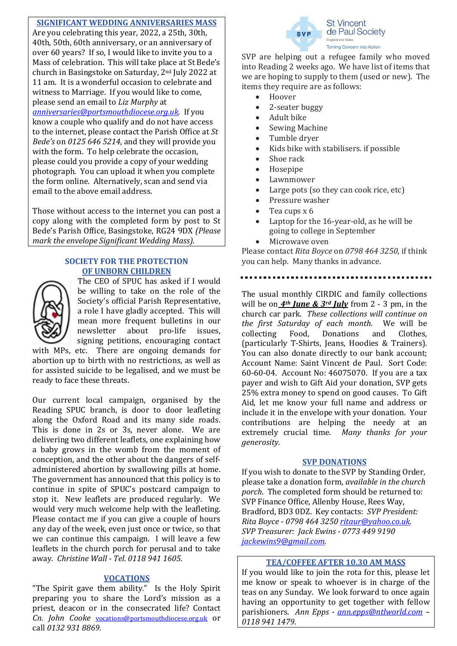# **SIGNIFICANT WEDDING ANNIVERSARIES MASS**

Are you celebrating this year, 2022, a 25th, 30th, 40th, 50th, 60th anniversary, or an anniversary of over 60 years? If so, I would like to invite you to a Mass of celebration. This will take place at St Bede's church in Basingstoke on Saturday, 2nd July 2022 at 11 am. It is a wonderful occasion to celebrate and witness to Marriage. If you would like to come, please send an email to *Liz Murphy* at

# *[anniversaries@portsmouthdiocese.org.uk.](mailto:anniversaries@portsmouthdiocese.org.uk)* If you

know a couple who qualify and do not have access to the internet, please contact the Parish Office at *St Bede's* on *0125 646 5214*, and they will provide you with the form. To help celebrate the occasion, please could you provide a copy of your wedding photograph. You can upload it when you complete the form online. Alternatively, scan and send via email to the above email address.

Those without access to the internet you can post a copy along with the completed form by post to St Bede's Parish Office, Basingstoke, RG24 9DX *(Please mark the envelope Significant Wedding Mass).*

# **SOCIETY FOR THE PROTECTION OF UNBORN CHILDREN**



The CEO of SPUC has asked if I would be willing to take on the role of the Society's official Parish Representative, a role I have gladly accepted. This will mean more frequent bulletins in our newsletter about pro-life issues, signing petitions, encouraging contact

with MPs, etc. There are ongoing demands for abortion up to birth with no restrictions, as well as for assisted suicide to be legalised, and we must be ready to face these threats.

Our current local campaign, organised by the Reading SPUC branch, is door to door leafleting along the Oxford Road and its many side roads. This is done in 2s or 3s, never alone. We are delivering two different leaflets, one explaining how a baby grows in the womb from the moment of conception, and the other about the dangers of selfadministered abortion by swallowing pills at home. The government has announced that this policy is to continue in spite of SPUC's postcard campaign to stop it. New leaflets are produced regularly. We would very much welcome help with the leafleting. Please contact me if you can give a couple of hours any day of the week, even just once or twice, so that we can continue this campaign. I will leave a few leaflets in the church porch for perusal and to take away. *Christine Wall - Tel. 0118 941 1605*.

# **VOCATIONS**

"The Spirit gave them ability." Is the Holy Spirit preparing you to share the Lord's mission as a priest, deacon or in the consecrated life? Contact *Cn. John Cooke* [vocations@portsmouthdiocese.org.uk](mailto:vocations@portsmouthdiocese.org.uk) or call *0132 931 8869.*



SVP are helping out a refugee family who moved into Reading 2 weeks ago. We have list of items that we are hoping to supply to them (used or new). The items they require are as follows:

- Hoover
- 2-seater buggy
- Adult bike
- Sewing Machine
- Tumble dryer
- Kids bike with stabilisers. if possible
- Shoe rack
- Hosepipe
- **Lawnmower**
- Large pots (so they can cook rice, etc)
- Pressure washer
- Tea cups x 6
- Laptop for the 16-year-old, as he will be going to college in September
- Microwave oven

Please contact *Rita Boyce* on *0798 464 3250*, if think you can help. Many thanks in advance.

The usual monthly CIRDIC and family collections will be on  $4^{th}$  *June* &  $3^{rd}$  *July* from 2 - 3 pm, in the church car park. *These collections will continue on the first Saturday of each month*. We will be collecting Food, Donations and Clothes, (particularly T-Shirts, Jeans, Hoodies & Trainers). You can also donate directly to our bank account; Account Name: Saint Vincent de Paul. Sort Code: 60-60-04. Account No: 46075070. If you are a tax payer and wish to Gift Aid your donation, SVP gets 25% extra money to spend on good causes. To Gift Aid, let me know your full name and address or include it in the envelope with your donation. Your contributions are helping the needy at an extremely crucial time. *Many thanks for your generosity.*

# **SVP DONATIONS**

If you wish to donate to the SVP by Standing Order, please take a donation form, *available in the church porch*. The completed form should be returned to: SVP Finance Office, Allenby House, Rees Way, Bradford, BD3 0DZ. Key contacts: *SVP President: Rita Boyce* - *0798 464 3250 [ritaur@yahoo.co.uk.](mailto:ritaur@yahoo.co.uk) SVP Treasurer: Jack Ewins - 0773 449 9190 [jackewins9@gmail.com.](mailto:jackewins9@gmail.com)*

# **TEA/COFFEE AFTER 10.30 AM MASS**

If you would like to join the rota for this, please let me know or speak to whoever is in charge of the teas on any Sunday. We look forward to once again having an opportunity to get together with fellow parishioners. *Ann Epps - [ann.epps@ntlworld.com](mailto:ann.epps@ntlworld.com) – 0118 941 1479.*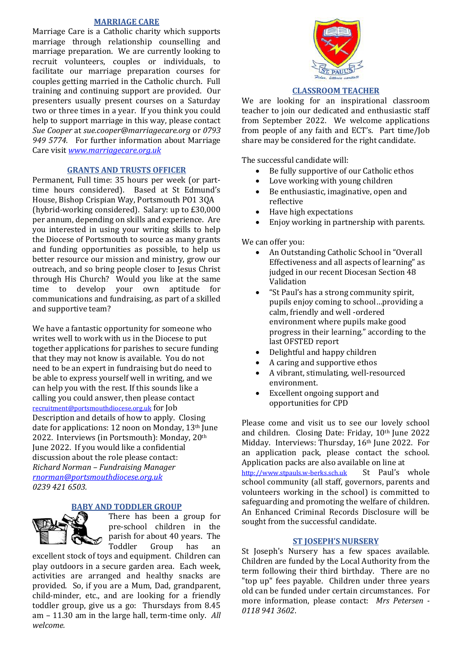# **MARRIAGE CARE**

Marriage Care is a Catholic charity which supports marriage through relationship counselling and marriage preparation. We are currently looking to recruit volunteers, couples or individuals, to facilitate our marriage preparation courses for couples getting married in the Catholic church. Full training and continuing support are provided. Our presenters usually present courses on a Saturday two or three times in a year. If you think you could help to support marriage in this way, please contact *Sue Cooper* at *sue.cooper@marriagecare.org* or *0793 949 5774.* For further information about Marriage Care visit *[www.marriagecare.org.uk](http://www.marriagecare.org.uk/)*

#### **GRANTS AND TRUSTS OFFICER**

Permanent, Full time: 35 hours per week (or parttime hours considered). Based at St Edmund's House, Bishop Crispian Way, Portsmouth PO1 3QA (hybrid-working considered). Salary: up to £30,000 per annum, depending on skills and experience. Are you interested in using your writing skills to help the Diocese of Portsmouth to source as many grants and funding opportunities as possible, to help us better resource our mission and ministry, grow our outreach, and so bring people closer to Jesus Christ through His Church? Would you like at the same time to develop your own aptitude for communications and fundraising, as part of a skilled and supportive team?

We have a fantastic opportunity for someone who writes well to work with us in the Diocese to put together applications for parishes to secure funding that they may not know is available. You do not need to be an expert in fundraising but do need to be able to express yourself well in writing, and we can help you with the rest. If this sounds like a calling you could answer, then please contact [recruitment@portsmouthdiocese.org.uk](mailto:recruitment@portsmouthdiocese.org.uk) for Job Description and details of how to apply. Closing date for applications: 12 noon on Monday, 13th June 2022. Interviews (in Portsmouth): Monday, 20th June 2022. If you would like a confidential discussion about the role please contact: *Richard Norman – Fundraising Manager [rnorman@portsmouthdiocese.org.uk](mailto:rnorman@portsmouthdiocese.org.uk) 0239 421 6503.*

# **BY AND TODDLER GROUP**



There has been a group for pre-school children in the parish for about 40 years. The Toddler Group has an

excellent stock of toys and equipment. Children can play outdoors in a secure garden area. Each week, activities are arranged and healthy snacks are provided. So, if you are a Mum, Dad, grandparent, child-minder, etc., and are looking for a friendly toddler group, give us a go: Thursdays from 8.45 am – 11.30 am in the large hall, term-time only. *All welcome.*



# **CLASSROOM TEACHER**

We are looking for an inspirational classroom teacher to join our dedicated and enthusiastic staff from September 2022. We welcome applications from people of any faith and ECT's. Part time/Job share may be considered for the right candidate.

The successful candidate will:

- Be fully supportive of our Catholic ethos
- Love working with young children
- Be enthusiastic, imaginative, open and reflective
- Have high expectations
- Enjoy working in partnership with parents.

We can offer you:

- An Outstanding Catholic School in "Overall Effectiveness and all aspects of learning" as judged in our recent Diocesan Section 48 Validation
- "St Paul's has a strong community spirit, pupils enjoy coming to school…providing a calm, friendly and well -ordered environment where pupils make good progress in their learning." according to the last OFSTED report
- Delightful and happy children
- A caring and supportive ethos
- A vibrant, stimulating, well-resourced environment.
- Excellent ongoing support and opportunities for CPD

Please come and visit us to see our lovely school and children. Closing Date: Friday, 10th June 2022 Midday. Interviews: Thursday, 16th June 2022. For an application pack, please contact the school. Application packs are also available on line at [http://www.stpauls.w-berks.sch.uk](http://www.stpauls.w-berks.sch.uk/) St Paul's whole school community (all staff, governors, parents and volunteers working in the school) is committed to safeguarding and promoting the welfare of children. An Enhanced Criminal Records Disclosure will be sought from the successful candidate.

# **ST JOSEPH'S NURSERY**

St Joseph's Nursery has a few spaces available. Children are funded by the Local Authority from the term following their third birthday. There are no "top up" fees payable. Children under three years old can be funded under certain circumstances. For more information, please contact: *Mrs Petersen - 0118 941 3602*.